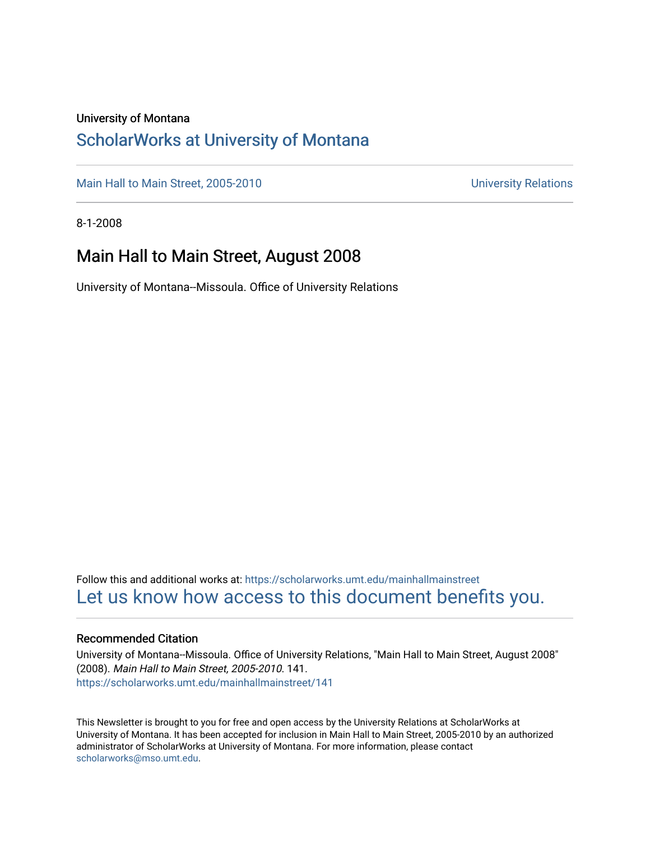#### University of Montana

### [ScholarWorks at University of Montana](https://scholarworks.umt.edu/)

[Main Hall to Main Street, 2005-2010](https://scholarworks.umt.edu/mainhallmainstreet) Main Hall to Main Street, 2005-2010

8-1-2008

#### Main Hall to Main Street, August 2008

University of Montana--Missoula. Office of University Relations

Follow this and additional works at: [https://scholarworks.umt.edu/mainhallmainstreet](https://scholarworks.umt.edu/mainhallmainstreet?utm_source=scholarworks.umt.edu%2Fmainhallmainstreet%2F141&utm_medium=PDF&utm_campaign=PDFCoverPages) [Let us know how access to this document benefits you.](https://goo.gl/forms/s2rGfXOLzz71qgsB2) 

#### Recommended Citation

University of Montana--Missoula. Office of University Relations, "Main Hall to Main Street, August 2008" (2008). Main Hall to Main Street, 2005-2010. 141. [https://scholarworks.umt.edu/mainhallmainstreet/141](https://scholarworks.umt.edu/mainhallmainstreet/141?utm_source=scholarworks.umt.edu%2Fmainhallmainstreet%2F141&utm_medium=PDF&utm_campaign=PDFCoverPages)

This Newsletter is brought to you for free and open access by the University Relations at ScholarWorks at University of Montana. It has been accepted for inclusion in Main Hall to Main Street, 2005-2010 by an authorized administrator of ScholarWorks at University of Montana. For more information, please contact [scholarworks@mso.umt.edu.](mailto:scholarworks@mso.umt.edu)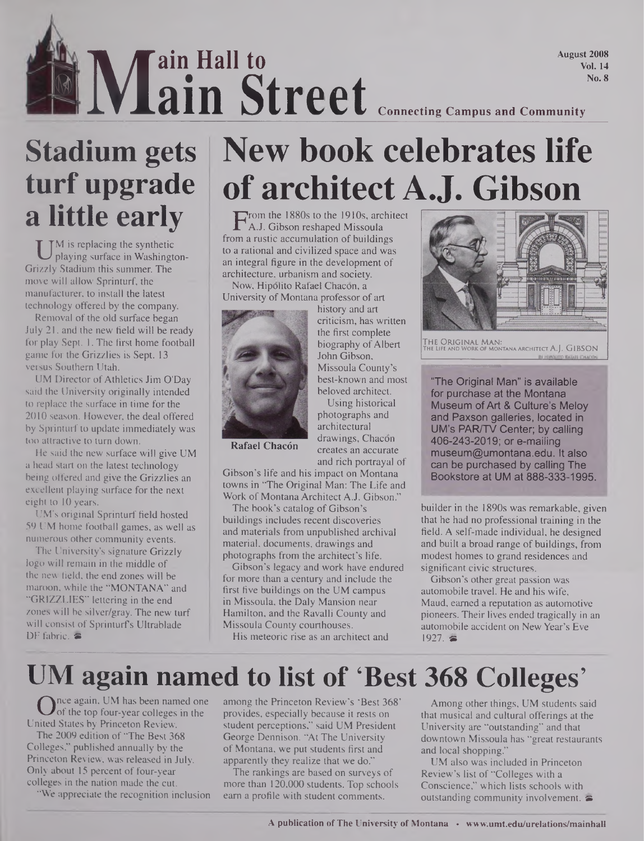August 2008 Vol. 14

## IS IN IVLain Street<br>
Street Connecting Campus and Community<br>
Street Connecting Campus and Community **ain Hall to ain Street**

## **Stadium gets turf upgrade a little early**

U <sup>M</sup> is replacing the synthetic<br>playing surface in Washington-<br>izzly Stadium this summer. The M is replacing the synthetic playing surface in Washingtonmove will allow Sprinturf, the manufacturer, to install the latest technology offered by the company.

Removal of the old surface began July 21, and the new field will be ready for play Sept. 1. The first home football game for the Grizzlies is Sept. 13 versus Southern Utah.

UM Director of Athletics Jim O'Day said the University originally intended to replace the surface in time for the 2010 season. However, the deal offered by Sprinturf to update immediately was too attractive to turn down.

He said the new surface will give UM a head start on the latest technology being offered and give the Grizzlies an excellent playing surface for the next eight to 10 years.

UM's original Sprinturf field hosted 59 UM home football games, as well as numerous other community events.

The University's signature Grizzly logo will remain in the middle of the new field, the end zones will be maroon, while the "MONTANA" and "GRIZZLIES" lettering in the end zones will be silver/gray. The new turf will consist of Sprinturfs Ultrablade DF fabric,  $\approx$ 

# **New book celebrates life of architect A.J. Gibson**

From the 1880s to the 1910s, architect<br>
A.J. Gibson reshaped Missoula<br>
Ima rustic accumulation of buildings A.J. Gibson reshaped Missoula from a rustic accumulation of buildings to a rational and civilized space and was an integral figure in the development of architecture, urbanism and society.

Now, Hipolito Rafael Chacon, a University of Montana professor of art



history and art criticism, has written the first complete biography of Albert John Gibson, Missoula County's best-known and most beloved architect. Using historical

photographs and architectural **Rafael Chacón** drawings, Chacon creates an accurate and rich portrayal of

Gibson's life and his impact on Montana towns in "The Original Man: The Life and Work of Montana Architect A.J. Gibson."

The book's catalog of Gibson's buildings includes recent discoveries and materials from unpublished archival material, documents, drawings and photographs from the architect's life.

Gibson's legacy and work have endured for more than a century and include the first five buildings on the UM campus in Missoula, the Daly Mansion near Hamilton, and the Ravalli County and Missoula County courthouses.

His meteoric rise as an architect and



THE ORIGINAL MAN:<br>The Life and Work of montana architect A.J. GIBSON

"The Original Man" is available for purchase at the Montana Museum ofArt & Culture's Meloy and Paxson galleries, located in UM's PAR/TV Center; by calling 406-243-2019; or e-mailing museum@umontana.edu. It also can be purchased by calling The Bookstore at UM at 888-333-1995.

builder in the 1890s was remarkable, given that he had no professional training in the field. A self-made individual, he designed and built a broad range of buildings, from modest homes to grand residences and significant civic structures.

Gibson's other great passion was automobile travel. He and his wife, Maud, earned a reputation as automotive pioneers. Their lives ended tragically in an automobile accident on NewYear's Eve 1927. ●

### **UM again named to list of 'Best 368 Colleges'**

Once again, UM has been named one<br>of the top four-year colleges in the<br>hited States by Princeton Review. of the top four-year colleges in the United States by Princeton Review.

The 2009 edition of "The Best 368 Colleges," published annually by the Princeton Review, was released in July. Only about 15 percent of four-year colleges in the nation made the cut.

"We appreciate the recognition inclusion

among the Princeton Review's 'Best 368' provides, especially because it rests on student perceptions," said UM President George Dennison. "At The University of Montana, we put students first and apparently they realize that we do."

The rankings are based on surveys of more than 120,000 students. Top schools earn a profile with student comments.

Among other things, UM students said that musical and cultural offerings at the University are "outstanding" and that downtown Missoula has "great restaurants and local shopping."

UM also was included in Princeton Review's list of "Colleges with a Conscience," which lists schools with outstanding community involvement.  $\blacktriangleright$